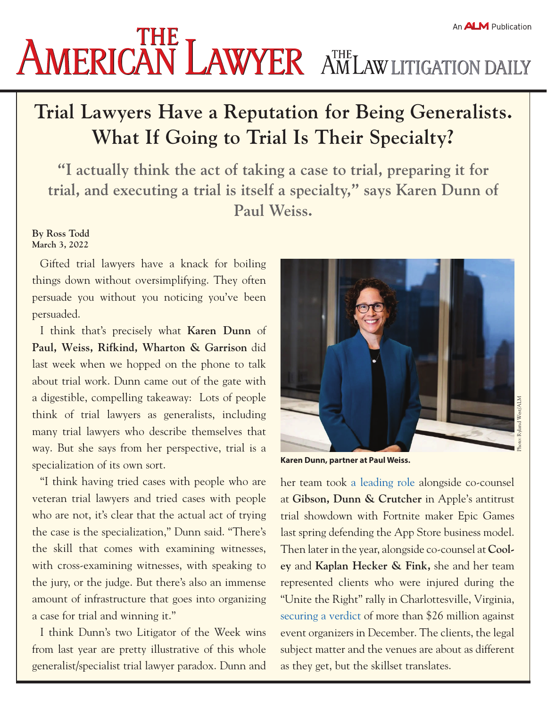## An **ALM** Publication **AMERICAN LAWYER** AMLAW LITIGATION DAILY

## **Trial Lawyers Have a Reputation for Being Generalists. What If Going to Trial Is Their Specialty?**

**"I actually think the act of taking a case to trial, preparing it for trial, and executing a trial is itself a specialty," says Karen Dunn of Paul Weiss.**

## **By Ross Todd March 3, 2022**

Gifted trial lawyers have a knack for boiling things down without oversimplifying. They often persuade you without you noticing you've been persuaded.

I think that's precisely what **Karen Dunn** of **Paul, Weiss, Rifkind, Wharton & Garrison** did last week when we hopped on the phone to talk about trial work. Dunn came out of the gate with a digestible, compelling takeaway: Lots of people think of trial lawyers as generalists, including many trial lawyers who describe themselves that way. But she says from her perspective, trial is a specialization of its own sort.

"I think having tried cases with people who are veteran trial lawyers and tried cases with people who are not, it's clear that the actual act of trying the case is the specialization," Dunn said. "There's the skill that comes with examining witnesses, with cross-examining witnesses, with speaking to the jury, or the judge. But there's also an immense amount of infrastructure that goes into organizing a case for trial and winning it."

I think Dunn's two Litigator of the Week wins from last year are pretty illustrative of this whole generalist/specialist trial lawyer paradox. Dunn and **Karen Dunn, partner at Paul Weiss.** 

her team took [a leading role](https://www.law.com/litigationdaily/2021/09/17/litigators-of-the-week-apple-turns-to-gibson-dunn-and-paul-weiss-to-fend-off-fortnite-makers-antitrust-challenge/) alongside co-counsel at **Gibson, Dunn & Crutcher** in Apple's antitrust trial showdown with Fortnite maker Epic Games last spring defending the App Store business model. Then later in the year, alongside co-counsel at **Cooley** and **Kaplan Hecker & Fink,** she and her team represented clients who were injured during the "Unite the Right" rally in Charlottesville, Virginia, [securing a verdict](https://www.law.com/litigationdaily/2021/12/03/litigators-of-the-week-cooley-kaplan-hecker-and-paul-weiss-hold-white-nationalists-accountable-for-charlottesville-violence/) of more than \$26 million against event organizers in December. The clients, the legal subject matter and the venues are about as different as they get, but the skillset translates.